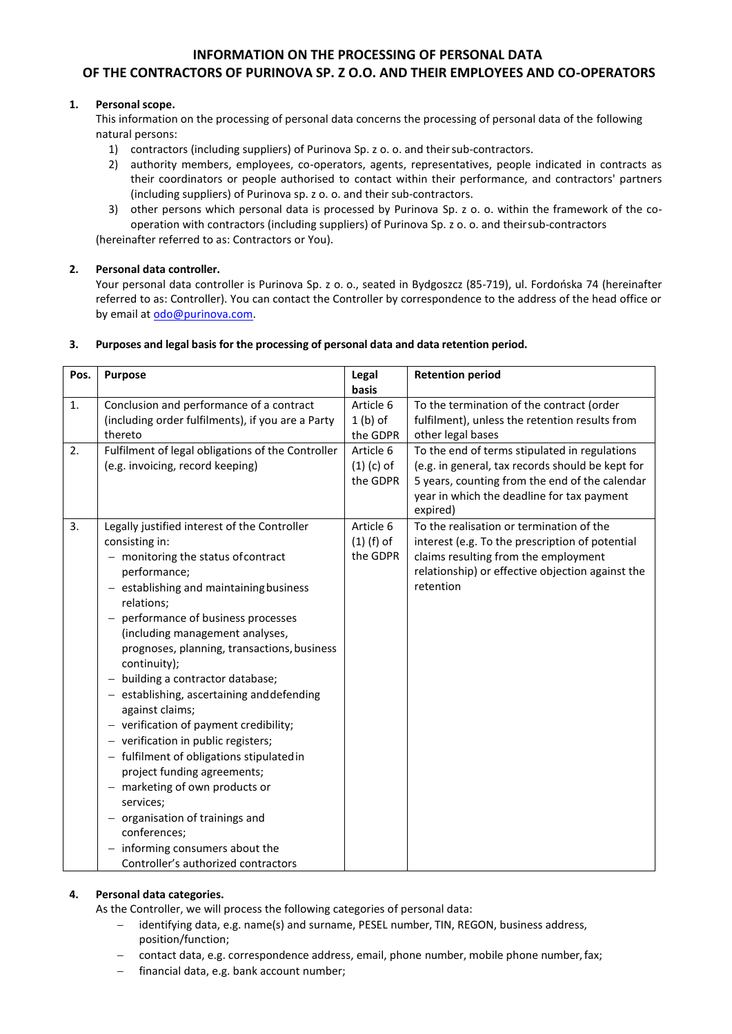# **INFORMATION ON THE PROCESSING OF PERSONAL DATA OF THE CONTRACTORS OF PURINOVA SP. Z O.O. AND THEIR EMPLOYEES AND CO-OPERATORS**

# **1. Personal scope.**

This information on the processing of personal data concerns the processing of personal data of the following natural persons:

- 1) contractors (including suppliers) of Purinova Sp. z o. o. and theirsub-contractors.
- 2) authority members, employees, co-operators, agents, representatives, people indicated in contracts as their coordinators or people authorised to contact within their performance, and contractors' partners (including suppliers) of Purinova sp. z o. o. and their sub-contractors.
- 3) other persons which personal data is processed by Purinova Sp. z o. o. within the framework of the cooperation with contractors (including suppliers) of Purinova Sp. z o. o. and theirsub-contractors

(hereinafter referred to as: Contractors or You).

# **2. Personal data controller.**

Your personal data controller is Purinova Sp. z o. o., seated in Bydgoszcz (85-719), ul. Fordońska 74 (hereinafter referred to as: Controller). You can contact the Controller by correspondence to the address of the head office or by email at [odo@purinova.com.](mailto:odo@purinova.com)

# **3. Purposes and legal basis for the processing of personal data and data retention period.**

| Pos. | Purpose                                                                                                                                                                                                                                                                                                                                                                                                                                                                                                                                                                                                                                                                                                                                                      | Legal                                 | <b>Retention period</b>                                                                                                                                                                                       |
|------|--------------------------------------------------------------------------------------------------------------------------------------------------------------------------------------------------------------------------------------------------------------------------------------------------------------------------------------------------------------------------------------------------------------------------------------------------------------------------------------------------------------------------------------------------------------------------------------------------------------------------------------------------------------------------------------------------------------------------------------------------------------|---------------------------------------|---------------------------------------------------------------------------------------------------------------------------------------------------------------------------------------------------------------|
|      |                                                                                                                                                                                                                                                                                                                                                                                                                                                                                                                                                                                                                                                                                                                                                              | basis                                 |                                                                                                                                                                                                               |
| 1.   | Conclusion and performance of a contract                                                                                                                                                                                                                                                                                                                                                                                                                                                                                                                                                                                                                                                                                                                     | Article 6                             | To the termination of the contract (order                                                                                                                                                                     |
|      | (including order fulfilments), if you are a Party<br>thereto                                                                                                                                                                                                                                                                                                                                                                                                                                                                                                                                                                                                                                                                                                 | $1(b)$ of<br>the GDPR                 | fulfilment), unless the retention results from<br>other legal bases                                                                                                                                           |
| 2.   | Fulfilment of legal obligations of the Controller<br>(e.g. invoicing, record keeping)                                                                                                                                                                                                                                                                                                                                                                                                                                                                                                                                                                                                                                                                        | Article 6<br>$(1)$ (c) of<br>the GDPR | To the end of terms stipulated in regulations<br>(e.g. in general, tax records should be kept for<br>5 years, counting from the end of the calendar<br>year in which the deadline for tax payment<br>expired) |
| 3.   | Legally justified interest of the Controller<br>consisting in:<br>monitoring the status of contract<br>performance;<br>- establishing and maintaining business<br>relations;<br>performance of business processes<br>(including management analyses,<br>prognoses, planning, transactions, business<br>continuity);<br>building a contractor database;<br>- establishing, ascertaining and defending<br>against claims;<br>- verification of payment credibility;<br>- verification in public registers;<br>- fulfilment of obligations stipulated in<br>project funding agreements;<br>- marketing of own products or<br>services;<br>organisation of trainings and<br>conferences;<br>informing consumers about the<br>Controller's authorized contractors | Article 6<br>$(1)$ (f) of<br>the GDPR | To the realisation or termination of the<br>interest (e.g. To the prescription of potential<br>claims resulting from the employment<br>relationship) or effective objection against the<br>retention          |

# **4. Personal data categories.**

As the Controller, we will process the following categories of personal data:

- identifying data, e.g. name(s) and surname, PESEL number, TIN, REGON, business address, position/function;
- − contact data, e.g. correspondence address, email, phone number, mobile phone number,fax;
- financial data, e.g. bank account number;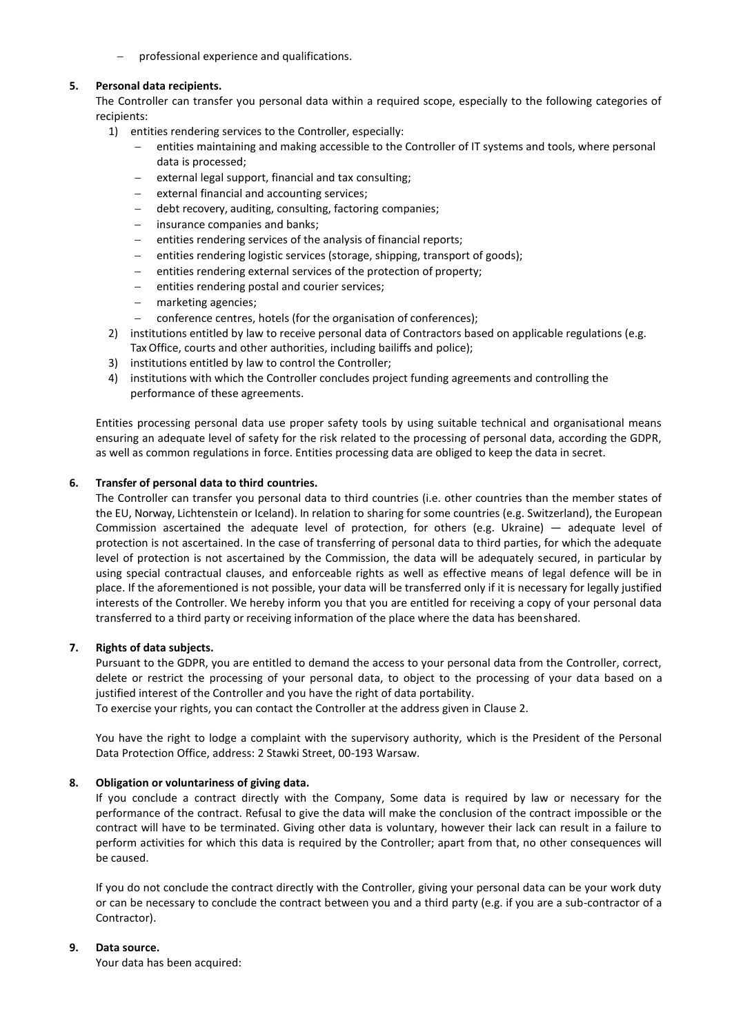− professional experience and qualifications.

#### **5. Personal data recipients.**

The Controller can transfer you personal data within a required scope, especially to the following categories of recipients:

- 1) entities rendering services to the Controller, especially:
	- − entities maintaining and making accessible to the Controller of IT systems and tools, where personal data is processed;
	- external legal support, financial and tax consulting;
	- external financial and accounting services;
	- − debt recovery, auditing, consulting, factoring companies;
	- − insurance companies and banks;
	- entities rendering services of the analysis of financial reports;
	- entities rendering logistic services (storage, shipping, transport of goods);
	- − entities rendering external services of the protection of property;
	- entities rendering postal and courier services;
	- marketing agencies;
	- conference centres, hotels (for the organisation of conferences);
- 2) institutions entitled by law to receive personal data of Contractors based on applicable regulations (e.g. Tax Office, courts and other authorities, including bailiffs and police);
- 3) institutions entitled by law to control the Controller;
- 4) institutions with which the Controller concludes project funding agreements and controlling the performance of these agreements.

Entities processing personal data use proper safety tools by using suitable technical and organisational means ensuring an adequate level of safety for the risk related to the processing of personal data, according the GDPR, as well as common regulations in force. Entities processing data are obliged to keep the data in secret.

## **6. Transfer of personal data to third countries.**

The Controller can transfer you personal data to third countries (i.e. other countries than the member states of the EU, Norway, Lichtenstein or Iceland). In relation to sharing for some countries (e.g. Switzerland), the European Commission ascertained the adequate level of protection, for others (e.g. Ukraine) — adequate level of protection is not ascertained. In the case of transferring of personal data to third parties, for which the adequate level of protection is not ascertained by the Commission, the data will be adequately secured, in particular by using special contractual clauses, and enforceable rights as well as effective means of legal defence will be in place. If the aforementioned is not possible, your data will be transferred only if it is necessary for legally justified interests of the Controller. We hereby inform you that you are entitled for receiving a copy of your personal data transferred to a third party or receiving information of the place where the data has beenshared.

#### **7. Rights of data subjects.**

Pursuant to the GDPR, you are entitled to demand the access to your personal data from the Controller, correct, delete or restrict the processing of your personal data, to object to the processing of your data based on a justified interest of the Controller and you have the right of data portability.

To exercise your rights, you can contact the Controller at the address given in Clause 2.

You have the right to lodge a complaint with the supervisory authority, which is the President of the Personal Data Protection Office, address: 2 Stawki Street, 00-193 Warsaw.

#### **8. Obligation or voluntariness of giving data.**

If you conclude a contract directly with the Company, Some data is required by law or necessary for the performance of the contract. Refusal to give the data will make the conclusion of the contract impossible or the contract will have to be terminated. Giving other data is voluntary, however their lack can result in a failure to perform activities for which this data is required by the Controller; apart from that, no other consequences will be caused.

If you do not conclude the contract directly with the Controller, giving your personal data can be your work duty or can be necessary to conclude the contract between you and a third party (e.g. if you are a sub-contractor of a Contractor).

## **9. Data source.**

Your data has been acquired: